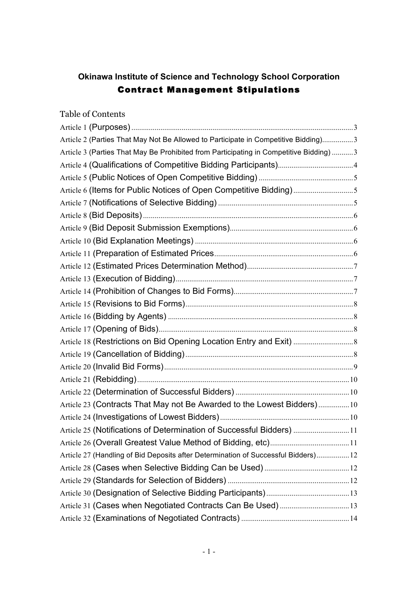# **Okinawa Institute of Science and Technology School Corporation** Contract Management Stipulations

| <b>Table of Contents</b>                                                               |  |
|----------------------------------------------------------------------------------------|--|
|                                                                                        |  |
| Article 2 (Parties That May Not Be Allowed to Participate in Competitive Bidding)3     |  |
| Article 3 (Parties That May Be Prohibited from Participating in Competitive Bidding) 3 |  |
|                                                                                        |  |
|                                                                                        |  |
|                                                                                        |  |
|                                                                                        |  |
|                                                                                        |  |
|                                                                                        |  |
|                                                                                        |  |
|                                                                                        |  |
|                                                                                        |  |
|                                                                                        |  |
|                                                                                        |  |
|                                                                                        |  |
|                                                                                        |  |
|                                                                                        |  |
|                                                                                        |  |
|                                                                                        |  |
|                                                                                        |  |
|                                                                                        |  |
|                                                                                        |  |
| Article 23 (Contracts That May not Be Awarded to the Lowest Bidders)10                 |  |
|                                                                                        |  |
| Article 25 (Notifications of Determination of Successful Bidders)  11                  |  |
|                                                                                        |  |
| Article 27 (Handling of Bid Deposits after Determination of Successful Bidders) 12     |  |
|                                                                                        |  |
|                                                                                        |  |
|                                                                                        |  |
| Article 31 (Cases when Negotiated Contracts Can Be Used)  13                           |  |
|                                                                                        |  |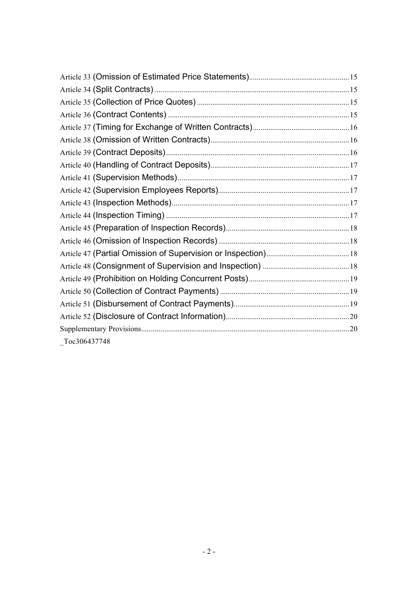| Toc306437748 |  |
|--------------|--|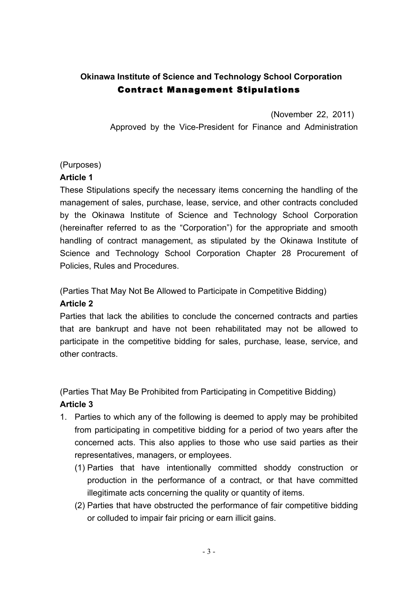## **Okinawa Institute of Science and Technology School Corporation** Contract Management Stipulations

(November 22, 2011) Approved by the Vice-President for Finance and Administration

#### (Purposes)

#### **Article 1**

These Stipulations specify the necessary items concerning the handling of the management of sales, purchase, lease, service, and other contracts concluded by the Okinawa Institute of Science and Technology School Corporation (hereinafter referred to as the "Corporation") for the appropriate and smooth handling of contract management, as stipulated by the Okinawa Institute of Science and Technology School Corporation Chapter 28 Procurement of Policies, Rules and Procedures.

(Parties That May Not Be Allowed to Participate in Competitive Bidding) **Article 2**

Parties that lack the abilities to conclude the concerned contracts and parties that are bankrupt and have not been rehabilitated may not be allowed to participate in the competitive bidding for sales, purchase, lease, service, and other contracts.

(Parties That May Be Prohibited from Participating in Competitive Bidding) **Article 3**

- 1. Parties to which any of the following is deemed to apply may be prohibited from participating in competitive bidding for a period of two years after the concerned acts. This also applies to those who use said parties as their representatives, managers, or employees.
	- (1) Parties that have intentionally committed shoddy construction or production in the performance of a contract, or that have committed illegitimate acts concerning the quality or quantity of items.
	- (2) Parties that have obstructed the performance of fair competitive bidding or colluded to impair fair pricing or earn illicit gains.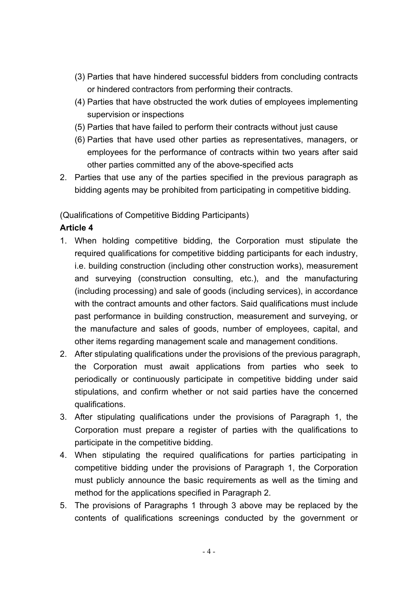- (3) Parties that have hindered successful bidders from concluding contracts or hindered contractors from performing their contracts.
- (4) Parties that have obstructed the work duties of employees implementing supervision or inspections
- (5) Parties that have failed to perform their contracts without just cause
- (6) Parties that have used other parties as representatives, managers, or employees for the performance of contracts within two years after said other parties committed any of the above-specified acts
- 2. Parties that use any of the parties specified in the previous paragraph as bidding agents may be prohibited from participating in competitive bidding.

#### (Qualifications of Competitive Bidding Participants)

- 1. When holding competitive bidding, the Corporation must stipulate the required qualifications for competitive bidding participants for each industry, i.e. building construction (including other construction works), measurement and surveying (construction consulting, etc.), and the manufacturing (including processing) and sale of goods (including services), in accordance with the contract amounts and other factors. Said qualifications must include past performance in building construction, measurement and surveying, or the manufacture and sales of goods, number of employees, capital, and other items regarding management scale and management conditions.
- 2. After stipulating qualifications under the provisions of the previous paragraph, the Corporation must await applications from parties who seek to periodically or continuously participate in competitive bidding under said stipulations, and confirm whether or not said parties have the concerned qualifications.
- 3. After stipulating qualifications under the provisions of Paragraph 1, the Corporation must prepare a register of parties with the qualifications to participate in the competitive bidding.
- 4. When stipulating the required qualifications for parties participating in competitive bidding under the provisions of Paragraph 1, the Corporation must publicly announce the basic requirements as well as the timing and method for the applications specified in Paragraph 2.
- 5. The provisions of Paragraphs 1 through 3 above may be replaced by the contents of qualifications screenings conducted by the government or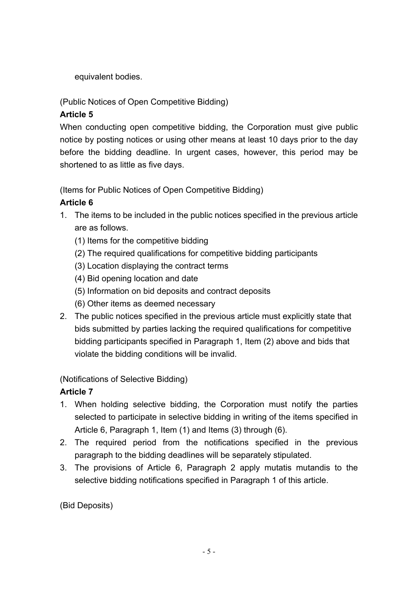equivalent bodies.

### (Public Notices of Open Competitive Bidding)

## **Article 5**

When conducting open competitive bidding, the Corporation must give public notice by posting notices or using other means at least 10 days prior to the day before the bidding deadline. In urgent cases, however, this period may be shortened to as little as five days.

(Items for Public Notices of Open Competitive Bidding)

## **Article 6**

- 1. The items to be included in the public notices specified in the previous article are as follows.
	- (1) Items for the competitive bidding
	- (2) The required qualifications for competitive bidding participants
	- (3) Location displaying the contract terms
	- (4) Bid opening location and date
	- (5) Information on bid deposits and contract deposits
	- (6) Other items as deemed necessary
- 2. The public notices specified in the previous article must explicitly state that bids submitted by parties lacking the required qualifications for competitive bidding participants specified in Paragraph 1, Item (2) above and bids that violate the bidding conditions will be invalid.

(Notifications of Selective Bidding)

## **Article 7**

- 1. When holding selective bidding, the Corporation must notify the parties selected to participate in selective bidding in writing of the items specified in Article 6, Paragraph 1, Item (1) and Items (3) through (6).
- 2. The required period from the notifications specified in the previous paragraph to the bidding deadlines will be separately stipulated.
- 3. The provisions of Article 6, Paragraph 2 apply mutatis mutandis to the selective bidding notifications specified in Paragraph 1 of this article.

(Bid Deposits)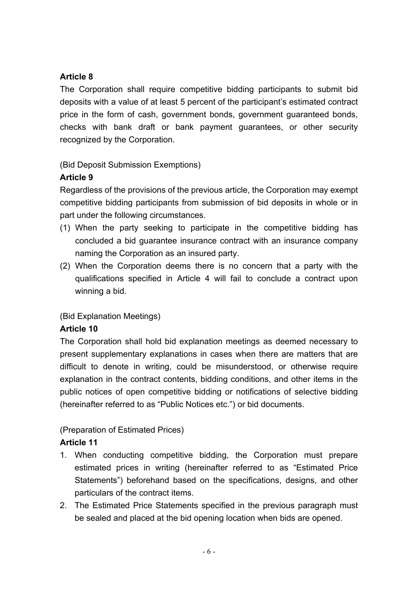The Corporation shall require competitive bidding participants to submit bid deposits with a value of at least 5 percent of the participant's estimated contract price in the form of cash, government bonds, government guaranteed bonds, checks with bank draft or bank payment guarantees, or other security recognized by the Corporation.

(Bid Deposit Submission Exemptions)

#### **Article 9**

Regardless of the provisions of the previous article, the Corporation may exempt competitive bidding participants from submission of bid deposits in whole or in part under the following circumstances.

- (1) When the party seeking to participate in the competitive bidding has concluded a bid guarantee insurance contract with an insurance company naming the Corporation as an insured party.
- (2) When the Corporation deems there is no concern that a party with the qualifications specified in Article 4 will fail to conclude a contract upon winning a bid.

#### (Bid Explanation Meetings)

#### **Article 10**

The Corporation shall hold bid explanation meetings as deemed necessary to present supplementary explanations in cases when there are matters that are difficult to denote in writing, could be misunderstood, or otherwise require explanation in the contract contents, bidding conditions, and other items in the public notices of open competitive bidding or notifications of selective bidding (hereinafter referred to as "Public Notices etc.") or bid documents.

#### (Preparation of Estimated Prices)

- 1. When conducting competitive bidding, the Corporation must prepare estimated prices in writing (hereinafter referred to as "Estimated Price Statements") beforehand based on the specifications, designs, and other particulars of the contract items.
- 2. The Estimated Price Statements specified in the previous paragraph must be sealed and placed at the bid opening location when bids are opened.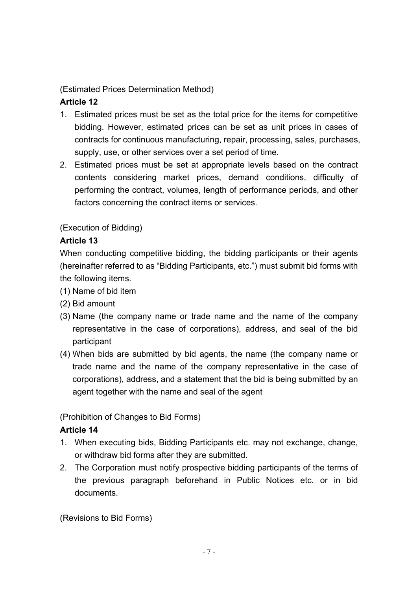### (Estimated Prices Determination Method)

## **Article 12**

- 1. Estimated prices must be set as the total price for the items for competitive bidding. However, estimated prices can be set as unit prices in cases of contracts for continuous manufacturing, repair, processing, sales, purchases, supply, use, or other services over a set period of time.
- 2. Estimated prices must be set at appropriate levels based on the contract contents considering market prices, demand conditions, difficulty of performing the contract, volumes, length of performance periods, and other factors concerning the contract items or services.

## (Execution of Bidding)

## **Article 13**

When conducting competitive bidding, the bidding participants or their agents (hereinafter referred to as "Bidding Participants, etc.") must submit bid forms with the following items.

- (1) Name of bid item
- (2) Bid amount
- (3) Name (the company name or trade name and the name of the company representative in the case of corporations), address, and seal of the bid participant
- (4) When bids are submitted by bid agents, the name (the company name or trade name and the name of the company representative in the case of corporations), address, and a statement that the bid is being submitted by an agent together with the name and seal of the agent

(Prohibition of Changes to Bid Forms)

## **Article 14**

- 1. When executing bids, Bidding Participants etc. may not exchange, change, or withdraw bid forms after they are submitted.
- 2. The Corporation must notify prospective bidding participants of the terms of the previous paragraph beforehand in Public Notices etc. or in bid documents.

(Revisions to Bid Forms)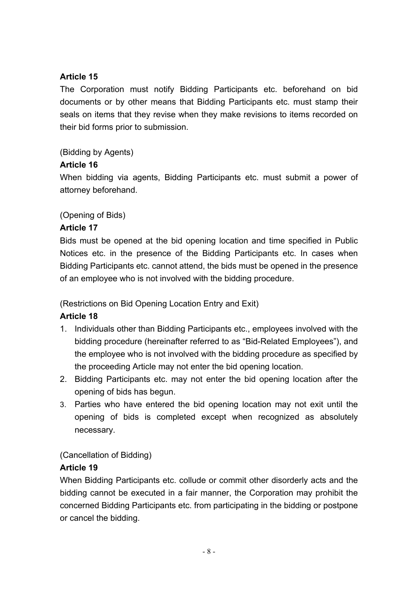The Corporation must notify Bidding Participants etc. beforehand on bid documents or by other means that Bidding Participants etc. must stamp their seals on items that they revise when they make revisions to items recorded on their bid forms prior to submission.

## (Bidding by Agents)

#### **Article 16**

When bidding via agents, Bidding Participants etc. must submit a power of attorney beforehand.

## (Opening of Bids)

## **Article 17**

Bids must be opened at the bid opening location and time specified in Public Notices etc. in the presence of the Bidding Participants etc. In cases when Bidding Participants etc. cannot attend, the bids must be opened in the presence of an employee who is not involved with the bidding procedure.

(Restrictions on Bid Opening Location Entry and Exit)

## **Article 18**

- 1. Individuals other than Bidding Participants etc., employees involved with the bidding procedure (hereinafter referred to as "Bid-Related Employees"), and the employee who is not involved with the bidding procedure as specified by the proceeding Article may not enter the bid opening location.
- 2. Bidding Participants etc. may not enter the bid opening location after the opening of bids has begun.
- 3. Parties who have entered the bid opening location may not exit until the opening of bids is completed except when recognized as absolutely necessary.

#### (Cancellation of Bidding)

## **Article 19**

When Bidding Participants etc. collude or commit other disorderly acts and the bidding cannot be executed in a fair manner, the Corporation may prohibit the concerned Bidding Participants etc. from participating in the bidding or postpone or cancel the bidding.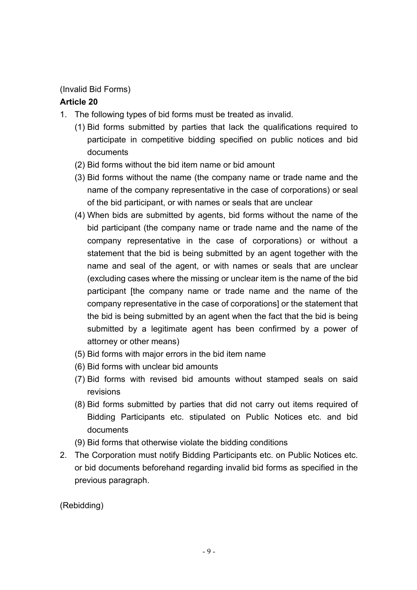### (Invalid Bid Forms)

### **Article 20**

- 1. The following types of bid forms must be treated as invalid.
	- (1) Bid forms submitted by parties that lack the qualifications required to participate in competitive bidding specified on public notices and bid documents
	- (2) Bid forms without the bid item name or bid amount
	- (3) Bid forms without the name (the company name or trade name and the name of the company representative in the case of corporations) or seal of the bid participant, or with names or seals that are unclear
	- (4) When bids are submitted by agents, bid forms without the name of the bid participant (the company name or trade name and the name of the company representative in the case of corporations) or without a statement that the bid is being submitted by an agent together with the name and seal of the agent, or with names or seals that are unclear (excluding cases where the missing or unclear item is the name of the bid participant [the company name or trade name and the name of the company representative in the case of corporations] or the statement that the bid is being submitted by an agent when the fact that the bid is being submitted by a legitimate agent has been confirmed by a power of attorney or other means)
	- (5) Bid forms with major errors in the bid item name
	- (6) Bid forms with unclear bid amounts
	- (7) Bid forms with revised bid amounts without stamped seals on said revisions
	- (8) Bid forms submitted by parties that did not carry out items required of Bidding Participants etc. stipulated on Public Notices etc. and bid documents
	- (9) Bid forms that otherwise violate the bidding conditions
- 2. The Corporation must notify Bidding Participants etc. on Public Notices etc. or bid documents beforehand regarding invalid bid forms as specified in the previous paragraph.

(Rebidding)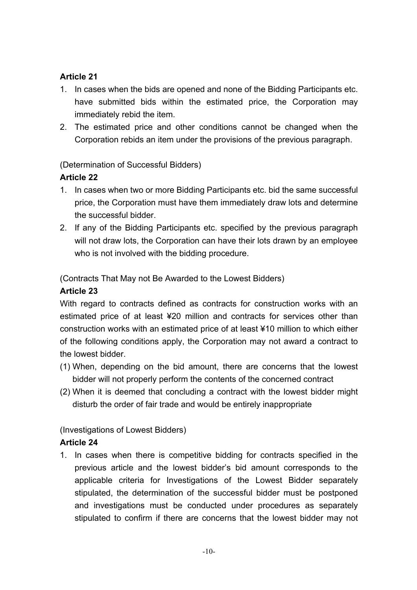- 1. In cases when the bids are opened and none of the Bidding Participants etc. have submitted bids within the estimated price, the Corporation may immediately rebid the item.
- 2. The estimated price and other conditions cannot be changed when the Corporation rebids an item under the provisions of the previous paragraph.

(Determination of Successful Bidders)

## **Article 22**

- 1. In cases when two or more Bidding Participants etc. bid the same successful price, the Corporation must have them immediately draw lots and determine the successful bidder.
- 2. If any of the Bidding Participants etc. specified by the previous paragraph will not draw lots, the Corporation can have their lots drawn by an employee who is not involved with the bidding procedure.

(Contracts That May not Be Awarded to the Lowest Bidders)

### **Article 23**

With regard to contracts defined as contracts for construction works with an estimated price of at least ¥20 million and contracts for services other than construction works with an estimated price of at least ¥10 million to which either of the following conditions apply, the Corporation may not award a contract to the lowest bidder.

- (1) When, depending on the bid amount, there are concerns that the lowest bidder will not properly perform the contents of the concerned contract
- (2) When it is deemed that concluding a contract with the lowest bidder might disturb the order of fair trade and would be entirely inappropriate

(Investigations of Lowest Bidders)

## **Article 24**

1. In cases when there is competitive bidding for contracts specified in the previous article and the lowest bidder's bid amount corresponds to the applicable criteria for Investigations of the Lowest Bidder separately stipulated, the determination of the successful bidder must be postponed and investigations must be conducted under procedures as separately stipulated to confirm if there are concerns that the lowest bidder may not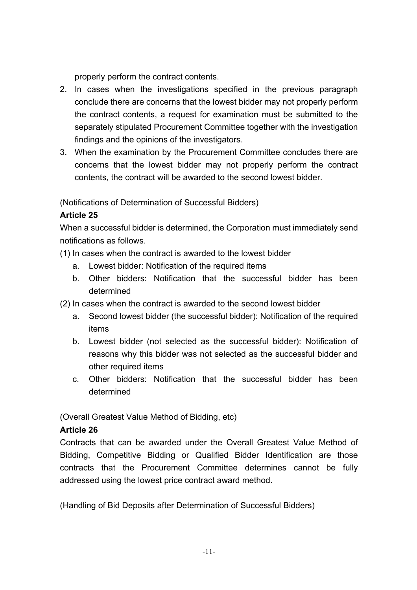properly perform the contract contents.

- 2. In cases when the investigations specified in the previous paragraph conclude there are concerns that the lowest bidder may not properly perform the contract contents, a request for examination must be submitted to the separately stipulated Procurement Committee together with the investigation findings and the opinions of the investigators.
- 3. When the examination by the Procurement Committee concludes there are concerns that the lowest bidder may not properly perform the contract contents, the contract will be awarded to the second lowest bidder.

(Notifications of Determination of Successful Bidders)

## **Article 25**

When a successful bidder is determined, the Corporation must immediately send notifications as follows.

- (1) In cases when the contract is awarded to the lowest bidder
	- a. Lowest bidder: Notification of the required items
	- b. Other bidders: Notification that the successful bidder has been determined
- (2) In cases when the contract is awarded to the second lowest bidder
	- a. Second lowest bidder (the successful bidder): Notification of the required items
	- b. Lowest bidder (not selected as the successful bidder): Notification of reasons why this bidder was not selected as the successful bidder and other required items
	- c. Other bidders: Notification that the successful bidder has been determined

(Overall Greatest Value Method of Bidding, etc)

#### **Article 26**

Contracts that can be awarded under the Overall Greatest Value Method of Bidding, Competitive Bidding or Qualified Bidder Identification are those contracts that the Procurement Committee determines cannot be fully addressed using the lowest price contract award method.

(Handling of Bid Deposits after Determination of Successful Bidders)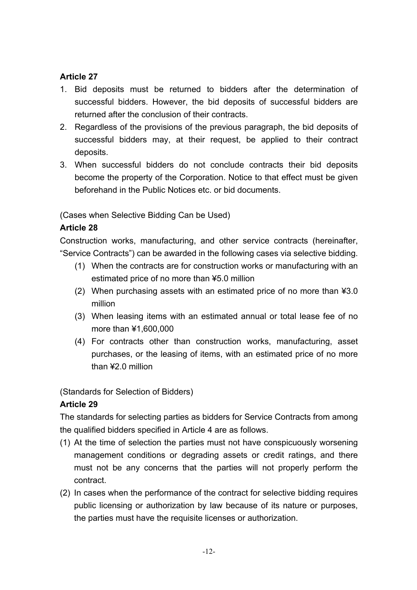- 1. Bid deposits must be returned to bidders after the determination of successful bidders. However, the bid deposits of successful bidders are returned after the conclusion of their contracts.
- 2. Regardless of the provisions of the previous paragraph, the bid deposits of successful bidders may, at their request, be applied to their contract deposits.
- 3. When successful bidders do not conclude contracts their bid deposits become the property of the Corporation. Notice to that effect must be given beforehand in the Public Notices etc. or bid documents.

(Cases when Selective Bidding Can be Used)

#### **Article 28**

Construction works, manufacturing, and other service contracts (hereinafter, "Service Contracts") can be awarded in the following cases via selective bidding.

- (1) When the contracts are for construction works or manufacturing with an estimated price of no more than ¥5.0 million
- (2) When purchasing assets with an estimated price of no more than ¥3.0 million
- (3) When leasing items with an estimated annual or total lease fee of no more than ¥1,600,000
- (4) For contracts other than construction works, manufacturing, asset purchases, or the leasing of items, with an estimated price of no more than ¥2.0 million

(Standards for Selection of Bidders)

## **Article 29**

The standards for selecting parties as bidders for Service Contracts from among the qualified bidders specified in Article 4 are as follows.

- (1) At the time of selection the parties must not have conspicuously worsening management conditions or degrading assets or credit ratings, and there must not be any concerns that the parties will not properly perform the contract.
- (2) In cases when the performance of the contract for selective bidding requires public licensing or authorization by law because of its nature or purposes, the parties must have the requisite licenses or authorization.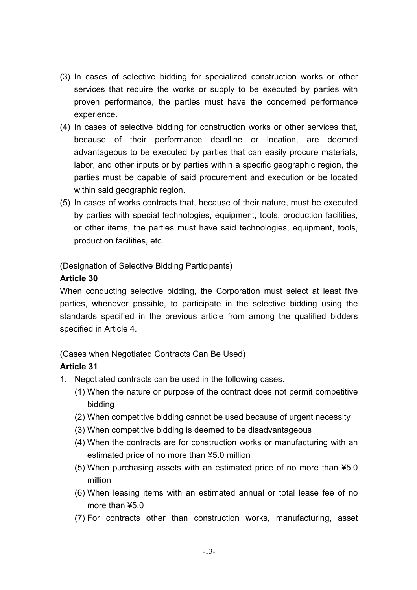- (3) In cases of selective bidding for specialized construction works or other services that require the works or supply to be executed by parties with proven performance, the parties must have the concerned performance experience.
- (4) In cases of selective bidding for construction works or other services that, because of their performance deadline or location, are deemed advantageous to be executed by parties that can easily procure materials, labor, and other inputs or by parties within a specific geographic region, the parties must be capable of said procurement and execution or be located within said geographic region.
- (5) In cases of works contracts that, because of their nature, must be executed by parties with special technologies, equipment, tools, production facilities, or other items, the parties must have said technologies, equipment, tools, production facilities, etc.

(Designation of Selective Bidding Participants)

#### **Article 30**

When conducting selective bidding, the Corporation must select at least five parties, whenever possible, to participate in the selective bidding using the standards specified in the previous article from among the qualified bidders specified in Article 4.

(Cases when Negotiated Contracts Can Be Used)

- 1. Negotiated contracts can be used in the following cases.
	- (1) When the nature or purpose of the contract does not permit competitive bidding
	- (2) When competitive bidding cannot be used because of urgent necessity
	- (3) When competitive bidding is deemed to be disadvantageous
	- (4) When the contracts are for construction works or manufacturing with an estimated price of no more than ¥5.0 million
	- (5) When purchasing assets with an estimated price of no more than ¥5.0 million
	- (6) When leasing items with an estimated annual or total lease fee of no more than ¥5.0
	- (7) For contracts other than construction works, manufacturing, asset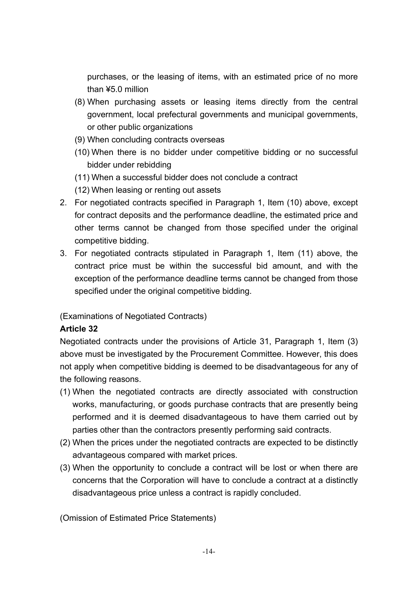purchases, or the leasing of items, with an estimated price of no more than ¥5.0 million

- (8) When purchasing assets or leasing items directly from the central government, local prefectural governments and municipal governments, or other public organizations
- (9) When concluding contracts overseas
- (10) When there is no bidder under competitive bidding or no successful bidder under rebidding
- (11) When a successful bidder does not conclude a contract
- (12) When leasing or renting out assets
- 2. For negotiated contracts specified in Paragraph 1, Item (10) above, except for contract deposits and the performance deadline, the estimated price and other terms cannot be changed from those specified under the original competitive bidding.
- 3. For negotiated contracts stipulated in Paragraph 1, Item (11) above, the contract price must be within the successful bid amount, and with the exception of the performance deadline terms cannot be changed from those specified under the original competitive bidding.

(Examinations of Negotiated Contracts)

#### **Article 32**

Negotiated contracts under the provisions of Article 31, Paragraph 1, Item (3) above must be investigated by the Procurement Committee. However, this does not apply when competitive bidding is deemed to be disadvantageous for any of the following reasons.

- (1) When the negotiated contracts are directly associated with construction works, manufacturing, or goods purchase contracts that are presently being performed and it is deemed disadvantageous to have them carried out by parties other than the contractors presently performing said contracts.
- (2) When the prices under the negotiated contracts are expected to be distinctly advantageous compared with market prices.
- (3) When the opportunity to conclude a contract will be lost or when there are concerns that the Corporation will have to conclude a contract at a distinctly disadvantageous price unless a contract is rapidly concluded.

(Omission of Estimated Price Statements)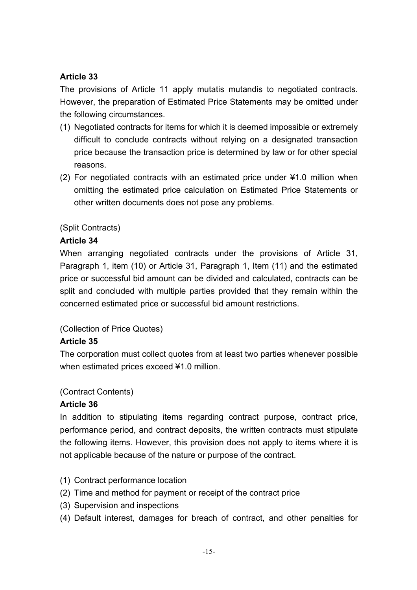The provisions of Article 11 apply mutatis mutandis to negotiated contracts. However, the preparation of Estimated Price Statements may be omitted under the following circumstances.

- (1) Negotiated contracts for items for which it is deemed impossible or extremely difficult to conclude contracts without relying on a designated transaction price because the transaction price is determined by law or for other special reasons.
- (2) For negotiated contracts with an estimated price under ¥1.0 million when omitting the estimated price calculation on Estimated Price Statements or other written documents does not pose any problems.

#### (Split Contracts)

#### **Article 34**

When arranging negotiated contracts under the provisions of Article 31, Paragraph 1, item (10) or Article 31, Paragraph 1, Item (11) and the estimated price or successful bid amount can be divided and calculated, contracts can be split and concluded with multiple parties provided that they remain within the concerned estimated price or successful bid amount restrictions.

#### (Collection of Price Quotes)

#### **Article 35**

The corporation must collect quotes from at least two parties whenever possible when estimated prices exceed ¥1.0 million.

#### (Contract Contents)

#### **Article 36**

In addition to stipulating items regarding contract purpose, contract price, performance period, and contract deposits, the written contracts must stipulate the following items. However, this provision does not apply to items where it is not applicable because of the nature or purpose of the contract.

- (1) Contract performance location
- (2) Time and method for payment or receipt of the contract price
- (3) Supervision and inspections
- (4) Default interest, damages for breach of contract, and other penalties for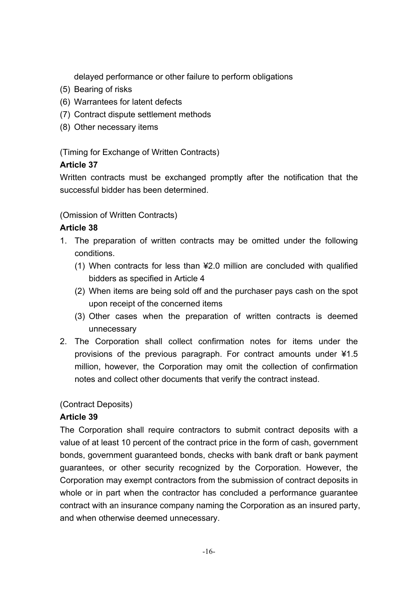delayed performance or other failure to perform obligations

- (5) Bearing of risks
- (6) Warrantees for latent defects
- (7) Contract dispute settlement methods
- (8) Other necessary items

## (Timing for Exchange of Written Contracts)

## **Article 37**

Written contracts must be exchanged promptly after the notification that the successful bidder has been determined.

#### (Omission of Written Contracts)

#### **Article 38**

- 1. The preparation of written contracts may be omitted under the following conditions.
	- (1) When contracts for less than ¥2.0 million are concluded with qualified bidders as specified in Article 4
	- (2) When items are being sold off and the purchaser pays cash on the spot upon receipt of the concerned items
	- (3) Other cases when the preparation of written contracts is deemed unnecessary
- 2. The Corporation shall collect confirmation notes for items under the provisions of the previous paragraph. For contract amounts under ¥1.5 million, however, the Corporation may omit the collection of confirmation notes and collect other documents that verify the contract instead.

## (Contract Deposits)

## **Article 39**

The Corporation shall require contractors to submit contract deposits with a value of at least 10 percent of the contract price in the form of cash, government bonds, government guaranteed bonds, checks with bank draft or bank payment guarantees, or other security recognized by the Corporation. However, the Corporation may exempt contractors from the submission of contract deposits in whole or in part when the contractor has concluded a performance guarantee contract with an insurance company naming the Corporation as an insured party, and when otherwise deemed unnecessary.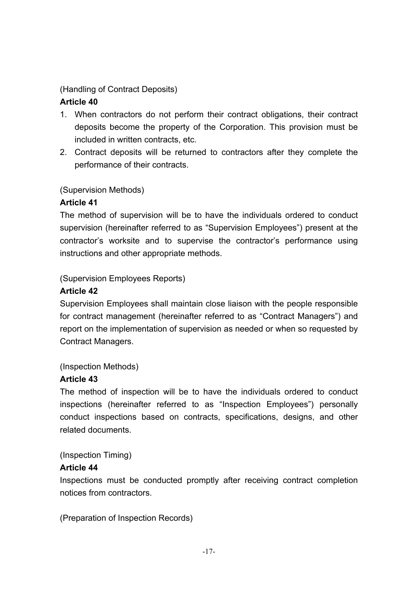#### (Handling of Contract Deposits)

#### **Article 40**

- 1. When contractors do not perform their contract obligations, their contract deposits become the property of the Corporation. This provision must be included in written contracts, etc.
- 2. Contract deposits will be returned to contractors after they complete the performance of their contracts.

(Supervision Methods)

#### **Article 41**

The method of supervision will be to have the individuals ordered to conduct supervision (hereinafter referred to as "Supervision Employees") present at the contractor's worksite and to supervise the contractor's performance using instructions and other appropriate methods.

#### (Supervision Employees Reports)

#### **Article 42**

Supervision Employees shall maintain close liaison with the people responsible for contract management (hereinafter referred to as "Contract Managers") and report on the implementation of supervision as needed or when so requested by Contract Managers.

#### (Inspection Methods)

#### **Article 43**

The method of inspection will be to have the individuals ordered to conduct inspections (hereinafter referred to as "Inspection Employees") personally conduct inspections based on contracts, specifications, designs, and other related documents.

#### (Inspection Timing)

#### **Article 44**

Inspections must be conducted promptly after receiving contract completion notices from contractors.

(Preparation of Inspection Records)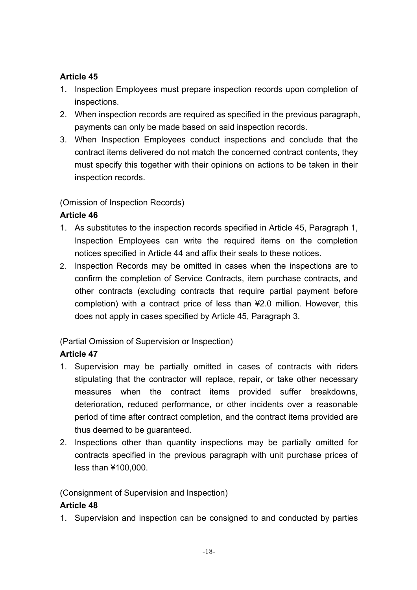- 1. Inspection Employees must prepare inspection records upon completion of inspections.
- 2. When inspection records are required as specified in the previous paragraph, payments can only be made based on said inspection records.
- 3. When Inspection Employees conduct inspections and conclude that the contract items delivered do not match the concerned contract contents, they must specify this together with their opinions on actions to be taken in their inspection records.

(Omission of Inspection Records)

## **Article 46**

- 1. As substitutes to the inspection records specified in Article 45, Paragraph 1, Inspection Employees can write the required items on the completion notices specified in Article 44 and affix their seals to these notices.
- 2. Inspection Records may be omitted in cases when the inspections are to confirm the completion of Service Contracts, item purchase contracts, and other contracts (excluding contracts that require partial payment before completion) with a contract price of less than ¥2.0 million. However, this does not apply in cases specified by Article 45, Paragraph 3.

(Partial Omission of Supervision or Inspection)

## **Article 47**

- 1. Supervision may be partially omitted in cases of contracts with riders stipulating that the contractor will replace, repair, or take other necessary measures when the contract items provided suffer breakdowns, deterioration, reduced performance, or other incidents over a reasonable period of time after contract completion, and the contract items provided are thus deemed to be guaranteed.
- 2. Inspections other than quantity inspections may be partially omitted for contracts specified in the previous paragraph with unit purchase prices of less than ¥100,000.

## (Consignment of Supervision and Inspection)

## **Article 48**

1. Supervision and inspection can be consigned to and conducted by parties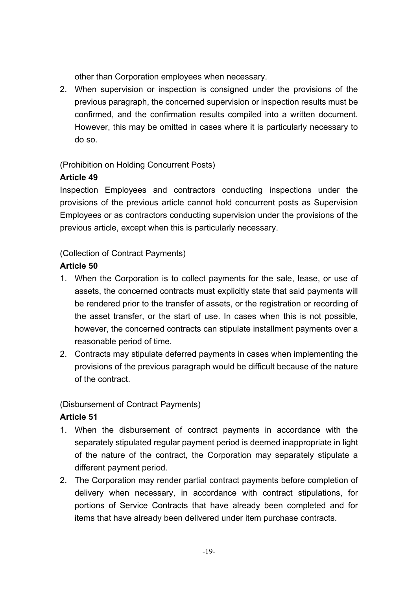other than Corporation employees when necessary.

2. When supervision or inspection is consigned under the provisions of the previous paragraph, the concerned supervision or inspection results must be confirmed, and the confirmation results compiled into a written document. However, this may be omitted in cases where it is particularly necessary to do so.

(Prohibition on Holding Concurrent Posts)

## **Article 49**

Inspection Employees and contractors conducting inspections under the provisions of the previous article cannot hold concurrent posts as Supervision Employees or as contractors conducting supervision under the provisions of the previous article, except when this is particularly necessary.

#### (Collection of Contract Payments)

#### **Article 50**

- 1. When the Corporation is to collect payments for the sale, lease, or use of assets, the concerned contracts must explicitly state that said payments will be rendered prior to the transfer of assets, or the registration or recording of the asset transfer, or the start of use. In cases when this is not possible, however, the concerned contracts can stipulate installment payments over a reasonable period of time.
- 2. Contracts may stipulate deferred payments in cases when implementing the provisions of the previous paragraph would be difficult because of the nature of the contract.

(Disbursement of Contract Payments)

- 1. When the disbursement of contract payments in accordance with the separately stipulated regular payment period is deemed inappropriate in light of the nature of the contract, the Corporation may separately stipulate a different payment period.
- 2. The Corporation may render partial contract payments before completion of delivery when necessary, in accordance with contract stipulations, for portions of Service Contracts that have already been completed and for items that have already been delivered under item purchase contracts.